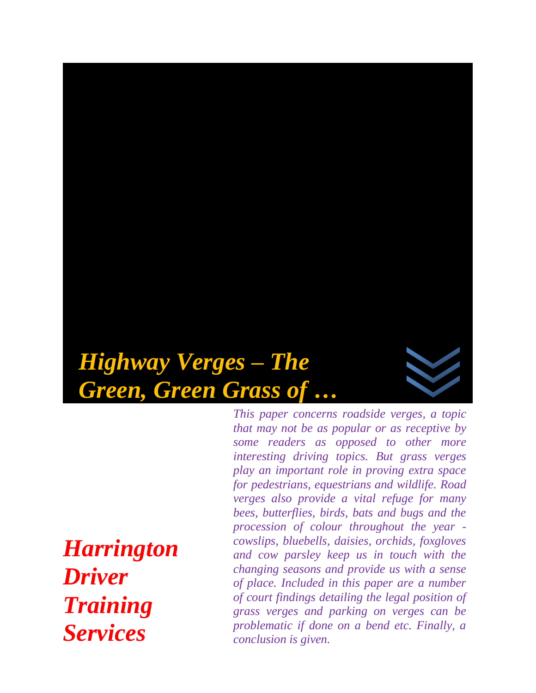# *Highway Verges – The Green, Green Grass of …*

*that may not be as popular or as receptive by some readers as opposed to other more interesting driving topics. But grass verges play an important role in proving extra space for pedestrians, equestrians and wildlife. Road verges also provide a vital refuge for many bees, butterflies, birds, bats and bugs and the procession of colour throughout the year cowslips, bluebells, daisies, orchids, foxgloves and cow parsley keep us in touch with the changing seasons and provide us with a sense of place. Included in this paper are a number of court findings detailing the legal position of grass verges and parking on verges can be problematic if done on a bend etc. Finally, a conclusion is given.* 

*This paper concerns roadside verges, a topic* 

*Harrington Driver Training Services*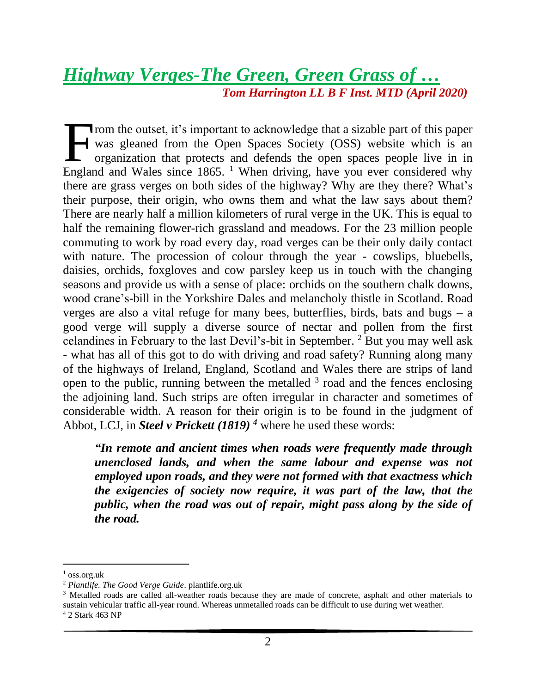# *Highway Verges-The Green, Green Grass of … Tom Harrington LL B F Inst. MTD (April 2020)*

Trom the outset, it's important to acknowledge that a sizable part of this paper was gleaned from the Open Spaces Society (OSS) website which is an organization that protects and defends the open spaces people live in in From the outset, it's important to acknowledge that a sizable part of this paper<br>was gleaned from the Open Spaces Society (OSS) website which is an<br>organization that protects and defends the open spaces people live in in<br>E there are grass verges on both sides of the highway? Why are they there? What's their purpose, their origin, who owns them and what the law says about them? There are nearly half a million kilometers of rural verge in the UK. This is equal to half the remaining flower-rich grassland and meadows. For the 23 million people commuting to work by road every day, road verges can be their only daily contact with nature. The procession of colour through the year - cowslips, bluebells, daisies, orchids, foxgloves and cow parsley keep us in touch with the changing seasons and provide us with a sense of place: orchids on the southern chalk downs, wood crane's-bill in the Yorkshire Dales and melancholy thistle in Scotland. Road verges are also a vital refuge for many bees, butterflies, birds, bats and bugs – a good verge will supply a diverse source of nectar and pollen from the first celandines in February to the last Devil's-bit in September. <sup>2</sup> But you may well ask - what has all of this got to do with driving and road safety? Running along many of the highways of Ireland, England, Scotland and Wales there are strips of land open to the public, running between the metalled  $3$  road and the fences enclosing the adjoining land. Such strips are often irregular in character and sometimes of considerable width. A reason for their origin is to be found in the judgment of Abbot, LCJ, in *Steel v Prickett (1819) <sup>4</sup>* where he used these words:

*"In remote and ancient times when roads were frequently made through unenclosed lands, and when the same labour and expense was not employed upon roads, and they were not formed with that exactness which the exigencies of society now require, it was part of the law, that the public, when the road was out of repair, might pass along by the side of the road.* 

 $1$  oss.org.uk

<sup>2</sup> *Plantlife. The Good Verge Guide*. plantlife.org.uk

<sup>&</sup>lt;sup>3</sup> Metalled roads are called all-weather roads because they are made of concrete, asphalt and other materials to sustain vehicular traffic all-year round. Whereas unmetalled roads can be difficult to use during wet weather.

<sup>4</sup> 2 Stark 463 NP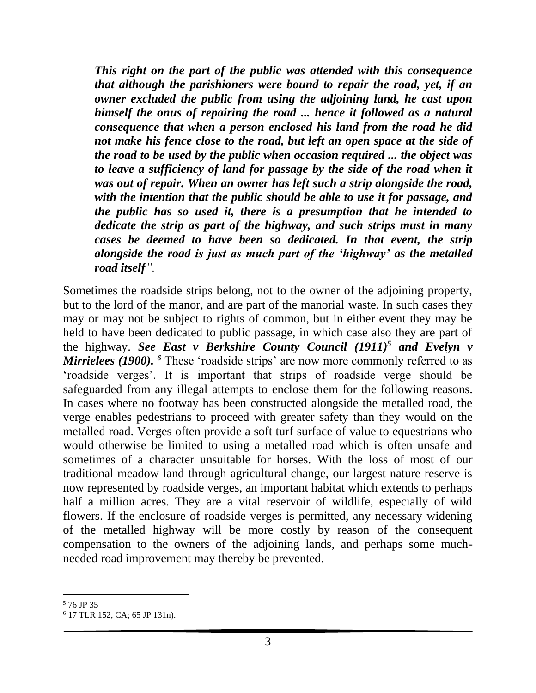*This right on the part of the public was attended with this consequence that although the parishioners were bound to repair the road, yet, if an owner excluded the public from using the adjoining land, he cast upon himself the onus of repairing the road ... hence it followed as a natural consequence that when a person enclosed his land from the road he did not make his fence close to the road, but left an open space at the side of the road to be used by the public when occasion required ... the object was to leave a sufficiency of land for passage by the side of the road when it was out of repair. When an owner has left such a strip alongside the road, with the intention that the public should be able to use it for passage, and the public has so used it, there is a presumption that he intended to dedicate the strip as part of the highway, and such strips must in many cases be deemed to have been so dedicated. In that event, the strip alongside the road is just as much part of the 'highway' as the metalled road itself".* 

Sometimes the roadside strips belong, not to the owner of the adjoining property, but to the lord of the manor, and are part of the manorial waste. In such cases they may or may not be subject to rights of common, but in either event they may be held to have been dedicated to public passage, in which case also they are part of the highway. *See East v Berkshire County Council (1911) <sup>5</sup> and Evelyn v Mirrielees (1900).* <sup>6</sup> These 'roadside strips' are now more commonly referred to as 'roadside verges'. It is important that strips of roadside verge should be safeguarded from any illegal attempts to enclose them for the following reasons. In cases where no footway has been constructed alongside the metalled road, the verge enables pedestrians to proceed with greater safety than they would on the metalled road. Verges often provide a soft turf surface of value to equestrians who would otherwise be limited to using a metalled road which is often unsafe and sometimes of a character unsuitable for horses. With the loss of most of our traditional meadow land through agricultural change, our largest nature reserve is now represented by roadside verges, an important habitat which extends to perhaps half a million acres. They are a vital reservoir of wildlife, especially of wild flowers. If the enclosure of roadside verges is permitted, any necessary widening of the metalled highway will be more costly by reason of the consequent compensation to the owners of the adjoining lands, and perhaps some muchneeded road improvement may thereby be prevented.

<sup>5</sup> 76 JP 35

<sup>6</sup> 17 TLR 152, CA; 65 JP 131n).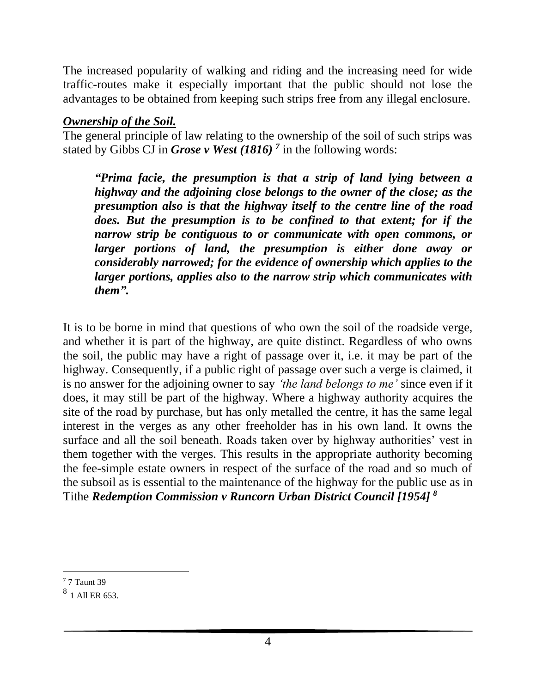The increased popularity of walking and riding and the increasing need for wide traffic-routes make it especially important that the public should not lose the advantages to be obtained from keeping such strips free from any illegal enclosure.

## *Ownership of the Soil.*

The general principle of law relating to the ownership of the soil of such strips was stated by Gibbs CJ in *Grose v West (1816) <sup>7</sup>* in the following words:

*"Prima facie, the presumption is that a strip of land lying between a highway and the adjoining close belongs to the owner of the close; as the presumption also is that the highway itself to the centre line of the road does. But the presumption is to be confined to that extent; for if the narrow strip be contiguous to or communicate with open commons, or larger portions of land, the presumption is either done away or considerably narrowed; for the evidence of ownership which applies to the larger portions, applies also to the narrow strip which communicates with them".*

It is to be borne in mind that questions of who own the soil of the roadside verge, and whether it is part of the highway, are quite distinct. Regardless of who owns the soil, the public may have a right of passage over it, i.e. it may be part of the highway. Consequently, if a public right of passage over such a verge is claimed, it is no answer for the adjoining owner to say *'the land belongs to me'* since even if it does, it may still be part of the highway. Where a highway authority acquires the site of the road by purchase, but has only metalled the centre, it has the same legal interest in the verges as any other freeholder has in his own land. It owns the surface and all the soil beneath. Roads taken over by highway authorities' vest in them together with the verges. This results in the appropriate authority becoming the fee-simple estate owners in respect of the surface of the road and so much of the subsoil as is essential to the maintenance of the highway for the public use as in Tithe *Redemption Commission v Runcorn Urban District Council [1954] <sup>8</sup>*

<sup>7</sup> 7 Taunt 39

<sup>8</sup> 1 All ER 653.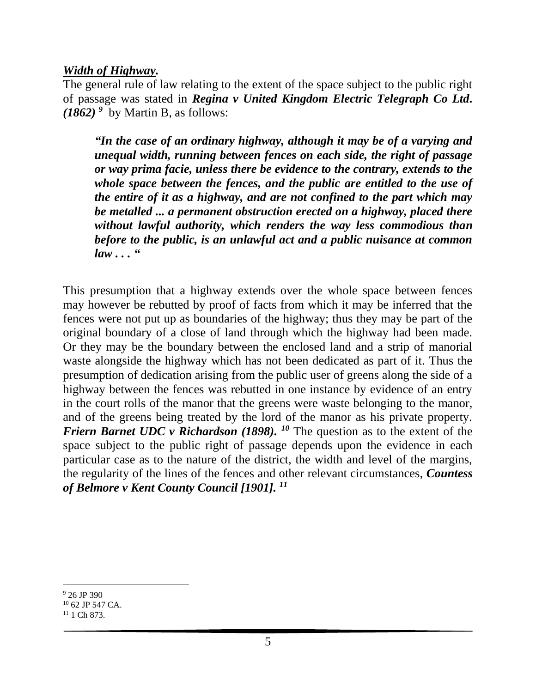# *Width of Highway.*

The general rule of law relating to the extent of the space subject to the public right of passage was stated in *Regina v United Kingdom Electric Telegraph Co Ltd.*  $(1862)^9$  by Martin B, as follows:

*"In the case of an ordinary highway, although it may be of a varying and unequal width, running between fences on each side, the right of passage or way prima facie, unless there be evidence to the contrary, extends to the whole space between the fences, and the public are entitled to the use of the entire of it as a highway, and are not confined to the part which may be metalled ... a permanent obstruction erected on a highway, placed there without lawful authority, which renders the way less commodious than before to the public, is an unlawful act and a public nuisance at common law . . . "*

This presumption that a highway extends over the whole space between fences may however be rebutted by proof of facts from which it may be inferred that the fences were not put up as boundaries of the highway; thus they may be part of the original boundary of a close of land through which the highway had been made. Or they may be the boundary between the enclosed land and a strip of manorial waste alongside the highway which has not been dedicated as part of it. Thus the presumption of dedication arising from the public user of greens along the side of a highway between the fences was rebutted in one instance by evidence of an entry in the court rolls of the manor that the greens were waste belonging to the manor, and of the greens being treated by the lord of the manor as his private property. *Friern Barnet UDC v Richardson (1898).* <sup>10</sup> The question as to the extent of the space subject to the public right of passage depends upon the evidence in each particular case as to the nature of the district, the width and level of the margins, the regularity of the lines of the fences and other relevant circumstances, *Countess of Belmore v Kent County Council [1901]. 11*

<sup>9</sup> 26 JP 390

<sup>10</sup> 62 JP 547 CA.  $11$  1 Ch 873.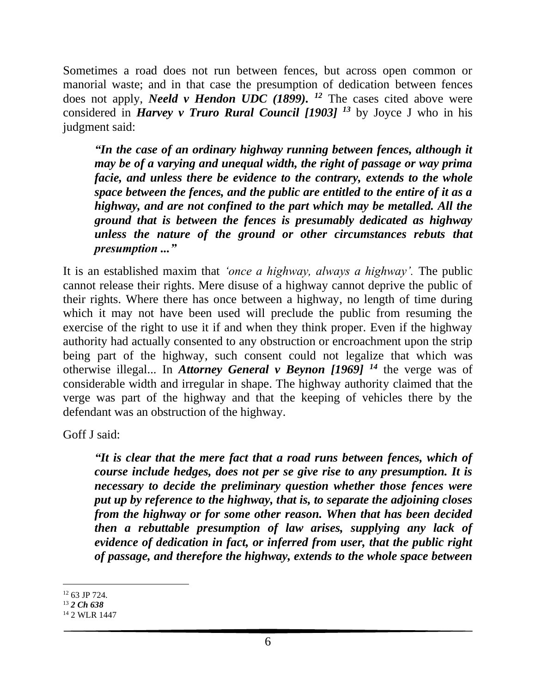Sometimes a road does not run between fences, but across open common or manorial waste; and in that case the presumption of dedication between fences does not apply, *Neeld v Hendon UDC (1899). <sup>12</sup>* The cases cited above were considered in *Harvey v Truro Rural Council [1903] <sup>13</sup>* by Joyce J who in his judgment said:

*"In the case of an ordinary highway running between fences, although it may be of a varying and unequal width, the right of passage or way prima facie, and unless there be evidence to the contrary, extends to the whole space between the fences, and the public are entitled to the entire of it as a highway, and are not confined to the part which may be metalled. All the ground that is between the fences is presumably dedicated as highway unless the nature of the ground or other circumstances rebuts that presumption ..."* 

It is an established maxim that *'once a highway, always a highway'.* The public cannot release their rights. Mere disuse of a highway cannot deprive the public of their rights. Where there has once between a highway, no length of time during which it may not have been used will preclude the public from resuming the exercise of the right to use it if and when they think proper. Even if the highway authority had actually consented to any obstruction or encroachment upon the strip being part of the highway, such consent could not legalize that which was otherwise illegal... In *Attorney General v Beynon [1969] <sup>14</sup>* the verge was of considerable width and irregular in shape. The highway authority claimed that the verge was part of the highway and that the keeping of vehicles there by the defendant was an obstruction of the highway.

Goff J said:

*"It is clear that the mere fact that a road runs between fences, which of course include hedges, does not per se give rise to any presumption. It is necessary to decide the preliminary question whether those fences were put up by reference to the highway, that is, to separate the adjoining closes from the highway or for some other reason. When that has been decided then a rebuttable presumption of law arises, supplying any lack of evidence of dedication in fact, or inferred from user, that the public right of passage, and therefore the highway, extends to the whole space between* 

<sup>12</sup> 63 JP 724.

<sup>13</sup> *2 Ch 638*

<sup>&</sup>lt;sup>14</sup> 2 WLR 1447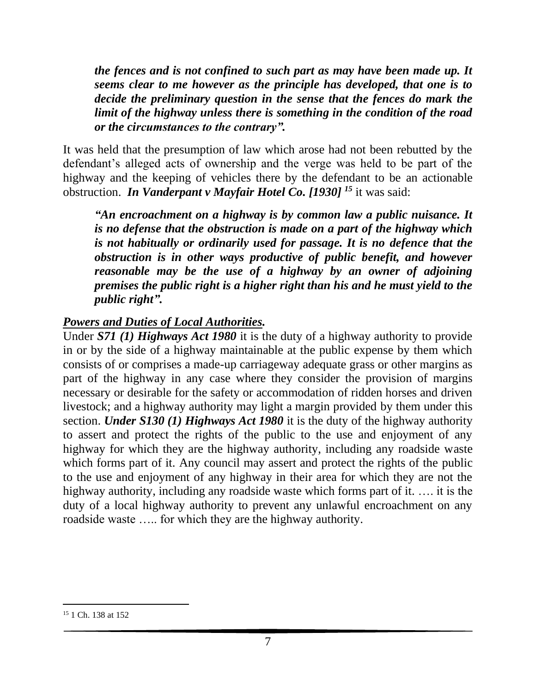*the fences and is not confined to such part as may have been made up. It seems clear to me however as the principle has developed, that one is to decide the preliminary question in the sense that the fences do mark the limit of the highway unless there is something in the condition of the road or the circumstances to the contrary".*

It was held that the presumption of law which arose had not been rebutted by the defendant's alleged acts of ownership and the verge was held to be part of the highway and the keeping of vehicles there by the defendant to be an actionable obstruction. *In Vanderpant v Mayfair Hotel Co. [1930] <sup>15</sup>* it was said:

*"An encroachment on a highway is by common law a public nuisance. It is no defense that the obstruction is made on a part of the highway which is not habitually or ordinarily used for passage. It is no defence that the obstruction is in other ways productive of public benefit, and however reasonable may be the use of a highway by an owner of adjoining premises the public right is a higher right than his and he must yield to the public right".* 

# *Powers and Duties of Local Authorities.*

Under *S71 (1) Highways Act 1980* it is the duty of a highway authority to provide in or by the side of a highway maintainable at the public expense by them which consists of or comprises a made-up carriageway adequate grass or other margins as part of the highway in any case where they consider the provision of margins necessary or desirable for the safety or accommodation of ridden horses and driven livestock; and a highway authority may light a margin provided by them under this section. *Under S130 (1) Highways Act 1980* it is the duty of the highway authority to assert and protect the rights of the public to the use and enjoyment of any highway for which they are the highway authority, including any roadside waste which forms part of it. Any council may assert and protect the rights of the public to the use and enjoyment of any highway in their area for which they are not the highway authority, including any roadside waste which forms part of it. …. it is the duty of a local highway authority to prevent any unlawful encroachment on any roadside waste ….. for which they are the highway authority.

<sup>&</sup>lt;sup>15</sup> 1 Ch. 138 at 152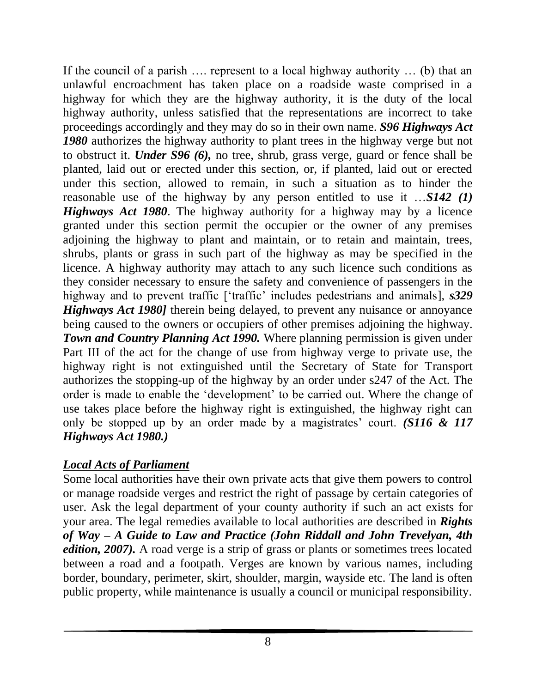If the council of a parish …. represent to a local highway authority … (b) that an unlawful encroachment has taken place on a roadside waste comprised in a highway for which they are the highway authority, it is the duty of the local highway authority, unless satisfied that the representations are incorrect to take proceedings accordingly and they may do so in their own name. *S96 Highways Act 1980* authorizes the highway authority to plant trees in the highway verge but not to obstruct it. *Under S96 (6),* no tree, shrub, grass verge, guard or fence shall be planted, laid out or erected under this section, or, if planted, laid out or erected under this section, allowed to remain, in such a situation as to hinder the reasonable use of the highway by any person entitled to use it …*S142 (1) Highways Act 1980*. The highway authority for a highway may by a licence granted under this section permit the occupier or the owner of any premises adjoining the highway to plant and maintain, or to retain and maintain, trees, shrubs, plants or grass in such part of the highway as may be specified in the licence. A highway authority may attach to any such licence such conditions as they consider necessary to ensure the safety and convenience of passengers in the highway and to prevent traffic ['traffic' includes pedestrians and animals], *s329 Highways Act 1980]* therein being delayed, to prevent any nuisance or annoyance being caused to the owners or occupiers of other premises adjoining the highway. *Town and Country Planning Act 1990.* Where planning permission is given under Part III of the act for the change of use from highway verge to private use, the highway right is not extinguished until the Secretary of State for Transport authorizes the stopping-up of the highway by an order under s247 of the Act. The order is made to enable the 'development' to be carried out. Where the change of use takes place before the highway right is extinguished, the highway right can only be stopped up by an order made by a magistrates' court. *(S116 & 117 Highways Act 1980.)*

# *Local Acts of Parliament*

Some local authorities have their own private acts that give them powers to control or manage roadside verges and restrict the right of passage by certain categories of user. Ask the legal department of your county authority if such an act exists for your area. The legal remedies available to local authorities are described in *Rights of Way – A Guide to Law and Practice (John Riddall and John Trevelyan, 4th edition, 2007*). A road verge is a strip of grass or plants or sometimes trees located between a road and a footpath. Verges are known by various names, including border, boundary, perimeter, skirt, shoulder, margin, wayside etc. The land is often public property, while maintenance is usually a council or municipal responsibility.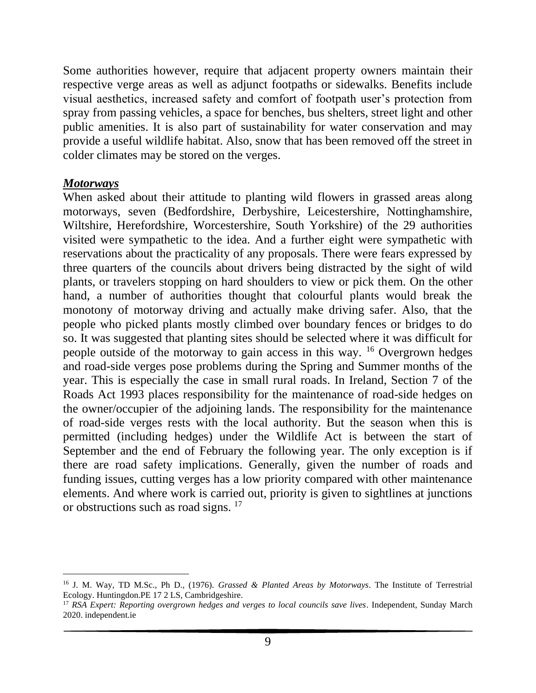Some authorities however, require that adjacent property owners maintain their respective verge areas as well as adjunct footpaths or sidewalks. Benefits include visual aesthetics, increased safety and comfort of footpath user's protection from spray from passing vehicles, a space for benches, bus shelters, street light and other public amenities. It is also part of sustainability for water conservation and may provide a useful wildlife habitat. Also, snow that has been removed off the street in colder climates may be stored on the verges.

#### *Motorways*

When asked about their attitude to planting wild flowers in grassed areas along motorways, seven (Bedfordshire, Derbyshire, Leicestershire, Nottinghamshire, Wiltshire, Herefordshire, Worcestershire, South Yorkshire) of the 29 authorities visited were sympathetic to the idea. And a further eight were sympathetic with reservations about the practicality of any proposals. There were fears expressed by three quarters of the councils about drivers being distracted by the sight of wild plants, or travelers stopping on hard shoulders to view or pick them. On the other hand, a number of authorities thought that colourful plants would break the monotony of motorway driving and actually make driving safer. Also, that the people who picked plants mostly climbed over boundary fences or bridges to do so. It was suggested that planting sites should be selected where it was difficult for people outside of the motorway to gain access in this way. <sup>16</sup> Overgrown hedges and road-side verges pose problems during the Spring and Summer months of the year. This is especially the case in small rural roads. In Ireland, Section 7 of the Roads Act 1993 places responsibility for the maintenance of road-side hedges on the owner/occupier of the adjoining lands. The responsibility for the maintenance of road-side verges rests with the local authority. But the season when this is permitted (including hedges) under the Wildlife Act is between the start of September and the end of February the following year. The only exception is if there are road safety implications. Generally, given the number of roads and funding issues, cutting verges has a low priority compared with other maintenance elements. And where work is carried out, priority is given to sightlines at junctions or obstructions such as road signs. <sup>17</sup>

<sup>16</sup> J. M. Way, TD M.Sc., Ph D., (1976). *Grassed & Planted Areas by Motorways*. The Institute of Terrestrial Ecology. Huntingdon.PE 17 2 LS, Cambridgeshire.

<sup>17</sup> *RSA Expert: Reporting overgrown hedges and verges to local councils save lives*. Independent, Sunday March 2020. independent.ie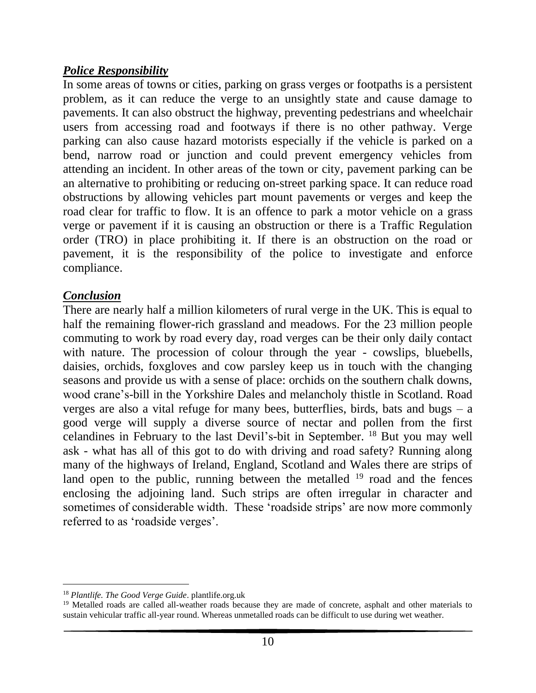## *Police Responsibility*

In some areas of towns or cities, parking on grass verges or footpaths is a persistent problem, as it can reduce the verge to an unsightly state and cause damage to pavements. It can also obstruct the highway, preventing pedestrians and wheelchair users from accessing road and footways if there is no other pathway. Verge parking can also cause hazard motorists especially if the vehicle is parked on a bend, narrow road or junction and could prevent emergency vehicles from attending an incident. In other areas of the town or city, pavement parking can be an alternative to prohibiting or reducing on-street parking space. It can reduce road obstructions by allowing vehicles part mount pavements or verges and keep the road clear for traffic to flow. It is an offence to park a motor vehicle on a grass verge or pavement if it is causing an obstruction or there is a Traffic Regulation order (TRO) in place prohibiting it. If there is an obstruction on the road or pavement, it is the responsibility of the police to investigate and enforce compliance.

#### *Conclusion*

There are nearly half a million kilometers of rural verge in the UK. This is equal to half the remaining flower-rich grassland and meadows. For the 23 million people commuting to work by road every day, road verges can be their only daily contact with nature. The procession of colour through the year - cowslips, bluebells, daisies, orchids, foxgloves and cow parsley keep us in touch with the changing seasons and provide us with a sense of place: orchids on the southern chalk downs, wood crane's-bill in the Yorkshire Dales and melancholy thistle in Scotland. Road verges are also a vital refuge for many bees, butterflies, birds, bats and bugs – a good verge will supply a diverse source of nectar and pollen from the first celandines in February to the last Devil's-bit in September. <sup>18</sup> But you may well ask - what has all of this got to do with driving and road safety? Running along many of the highways of Ireland, England, Scotland and Wales there are strips of land open to the public, running between the metalled  $19$  road and the fences enclosing the adjoining land. Such strips are often irregular in character and sometimes of considerable width. These 'roadside strips' are now more commonly referred to as 'roadside verges'.

<sup>18</sup> *Plantlife. The Good Verge Guide*. plantlife.org.uk

<sup>&</sup>lt;sup>19</sup> Metalled roads are called all-weather roads because they are made of concrete, asphalt and other materials to sustain vehicular traffic all-year round. Whereas unmetalled roads can be difficult to use during wet weather.